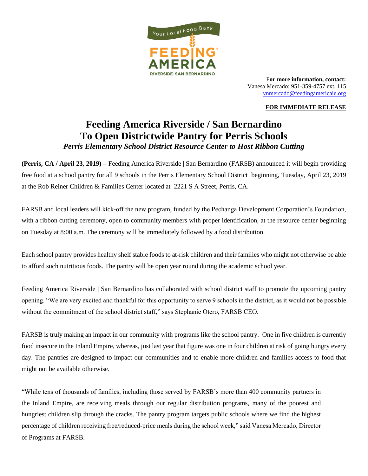

F**or more information, contact:**  Vanesa Mercado: 951-359-4757 ext. 115 [vnmercado@feedingamericaie.org](mailto:vnmercado@feedingamericaie.org)

## **FOR IMMEDIATE RELEASE**

## **Feeding America Riverside / San Bernardino To Open Districtwide Pantry for Perris Schools**  *Perris Elementary School District Resource Center to Host Ribbon Cutting*

**(Perris, CA / April 23, 2019) –** Feeding America Riverside | San Bernardino (FARSB) announced it will begin providing free food at a school pantry for all 9 schools in the Perris Elementary School District beginning, Tuesday, April 23, 2019 at the Rob Reiner Children & Families Center located at 2221 S A Street, Perris, CA.

FARSB and local leaders will kick-off the new program, funded by the Pechanga Development Corporation's Foundation, with a ribbon cutting ceremony, open to community members with proper identification, at the resource center beginning on Tuesday at 8:00 a.m. The ceremony will be immediately followed by a food distribution.

Each school pantry provides healthy shelf stable foods to at-risk children and their families who might not otherwise be able to afford such nutritious foods. The pantry will be open year round during the academic school year.

Feeding America Riverside | San Bernardino has collaborated with school district staff to promote the upcoming pantry opening. "We are very excited and thankful for this opportunity to serve 9 schools in the district, as it would not be possible without the commitment of the school district staff," says Stephanie Otero, FARSB CEO.

FARSB is truly making an impact in our community with programs like the school pantry. One in five children is currently food insecure in the Inland Empire, whereas, just last year that figure was one in four children at risk of going hungry every day. The pantries are designed to impact our communities and to enable more children and families access to food that might not be available otherwise.

"While tens of thousands of families, including those served by FARSB's more than 400 community partners in the Inland Empire, are receiving meals through our regular distribution programs, many of the poorest and hungriest children slip through the cracks. The pantry program targets public schools where we find the highest percentage of children receiving free/reduced-price meals during the school week," said Vanesa Mercado, Director of Programs at FARSB.